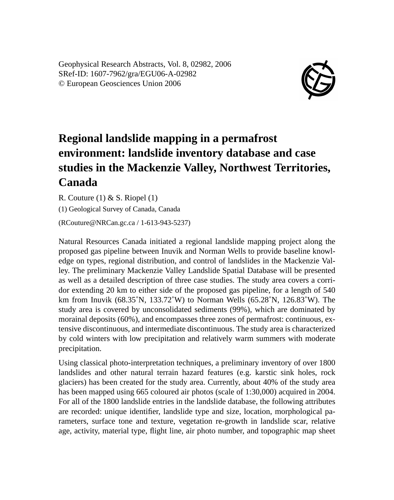Geophysical Research Abstracts, Vol. 8, 02982, 2006 SRef-ID: 1607-7962/gra/EGU06-A-02982 © European Geosciences Union 2006



## **Regional landslide mapping in a permafrost environment: landslide inventory database and case studies in the Mackenzie Valley, Northwest Territories, Canada**

R. Couture  $(1)$  & S. Riopel  $(1)$ 

(1) Geological Survey of Canada, Canada

(RCouture@NRCan.gc.ca / 1-613-943-5237)

Natural Resources Canada initiated a regional landslide mapping project along the proposed gas pipeline between Inuvik and Norman Wells to provide baseline knowledge on types, regional distribution, and control of landslides in the Mackenzie Valley. The preliminary Mackenzie Valley Landslide Spatial Database will be presented as well as a detailed description of three case studies. The study area covers a corridor extending 20 km to either side of the proposed gas pipeline, for a length of 540 km from Inuvik (68.35˚N, 133.72˚W) to Norman Wells (65.28˚N, 126.83˚W). The study area is covered by unconsolidated sediments (99%), which are dominated by morainal deposits (60%), and encompasses three zones of permafrost: continuous, extensive discontinuous, and intermediate discontinuous. The study area is characterized by cold winters with low precipitation and relatively warm summers with moderate precipitation.

Using classical photo-interpretation techniques, a preliminary inventory of over 1800 landslides and other natural terrain hazard features (e.g. karstic sink holes, rock glaciers) has been created for the study area. Currently, about 40% of the study area has been mapped using 665 coloured air photos (scale of 1:30,000) acquired in 2004. For all of the 1800 landslide entries in the landslide database, the following attributes are recorded: unique identifier, landslide type and size, location, morphological parameters, surface tone and texture, vegetation re-growth in landslide scar, relative age, activity, material type, flight line, air photo number, and topographic map sheet